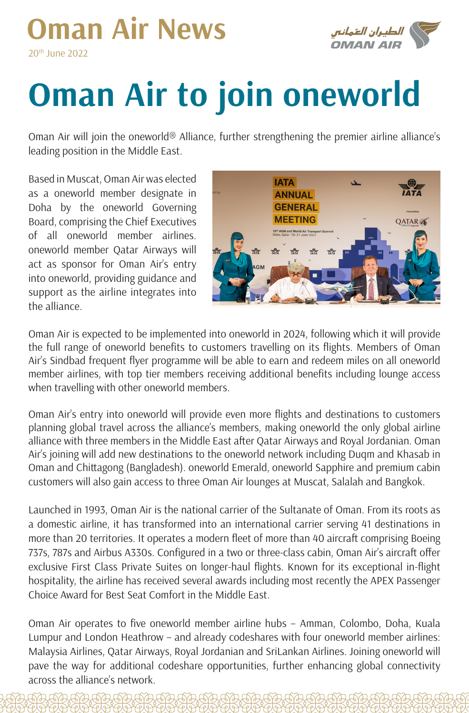## **Oman Air News**  $20<sup>th</sup>$  lune  $2022$



## **Oman Air to join oneworld**

Oman Air will join the oneworld<sup>®</sup> Alliance, further strengthening the premier airline alliance's leading position in the Middle East.

Based in Muscat, Oman Air was elected as a oneworld member designate in Doha by the oneworld Governing Board, comprising the Chief Executives of all oneworld member airlines. oneworld member Qatar Airways will act as sponsor for Oman Air's entry into oneworld, providing guidance and support as the airline integrates into the alliance



Oman Air is expected to be implemented into oneworld in 2024, following which it will provide the full range of oneworld benefits to customers travelling on its flights. Members of Oman Air's Sindbad frequent flyer programme will be able to earn and redeem miles on all oneworld member airlines, with top tier members receiving additional benefits including lounge access when travelling with other oneworld members.

Oman Air's entry into oneworld will provide even more flights and destinations to customers planning global travel across the alliance's members, making oneworld the only global airline alliance with three members in the Middle East after Qatar Airways and Royal Jordanian. Oman Air's joining will add new destinations to the oneworld network including Duqm and Khasab in Oman and Chittagong (Bangladesh). oneworld Emerald, oneworld Sapphire and premium cabin customers will also gain access to three Oman Air lounges at Muscat, Salalah and Bangkok.

Launched in 1993, Oman Air is the national carrier of the Sultanate of Oman. From its roots as a domestic airline, it has transformed into an international carrier serving 41 destinations in more than 20 territories. It operates a modern fleet of more than 40 aircraft comprising Boeing 737s, 787s and Airbus A330s. Configured in a two or three-class cabin, Oman Air's aircraft offer exclusive First Class Private Suites on longer-haul flights. Known for its exceptional in-flight hospitality, the airline has received several awards including most recently the APEX Passenger Choice Award for Best Seat Comfort in the Middle East.

Oman Air operates to five oneworld member airline hubs - Amman, Colombo, Doha, Kuala Lumpur and London Heathrow – and already codeshares with four oneworld member airlines: Malaysia Airlines, Qatar Airways, Royal Jordanian and SriLankan Airlines. Joining oneworld will pave the way for additional codeshare opportunities, further enhancing global connectivity across the alliance's network.